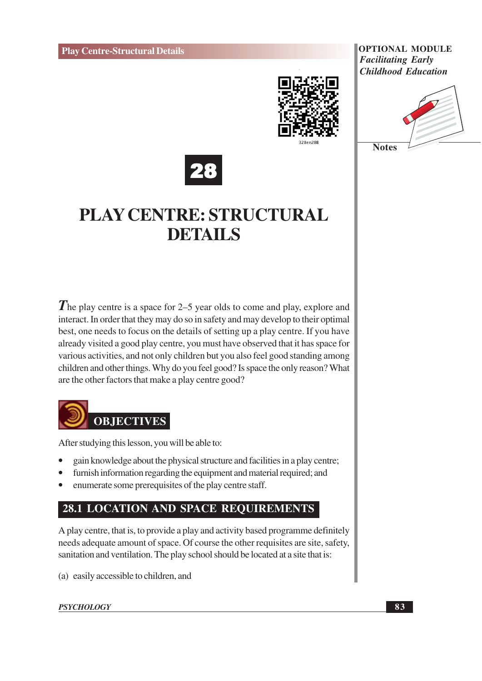





# **PLAY CENTRE: STRUCTURAL DETAILS**

 $\bf{\hat{\it I}}$  he play centre is a space for 2–5 year olds to come and play, explore and interact. In order that they may do so in safety and may develop to their optimal best, one needs to focus on the details of setting up a play centre. If you have already visited a good play centre, you must have observed that it has space for various activities, and not only children but you also feel good standing among children and other things. Why do you feel good? Is space the only reason? What are the other factors that make a play centre good?



After studying this lesson, you will be able to:

- gain knowledge about the physical structure and facilities in a play centre;
- furnish information regarding the equipment and material required; and
- enumerate some prerequisites of the play centre staff.

# 28.1 LOCATION AND SPACE REQUIREMENTS

A play centre, that is, to provide a play and activity based programme definitely needs adequate amount of space. Of course the other requisites are site, safety, sanitation and ventilation. The play school should be located at a site that is:

(a) easily accessible to children, and

#### **PSYCHOLOGY**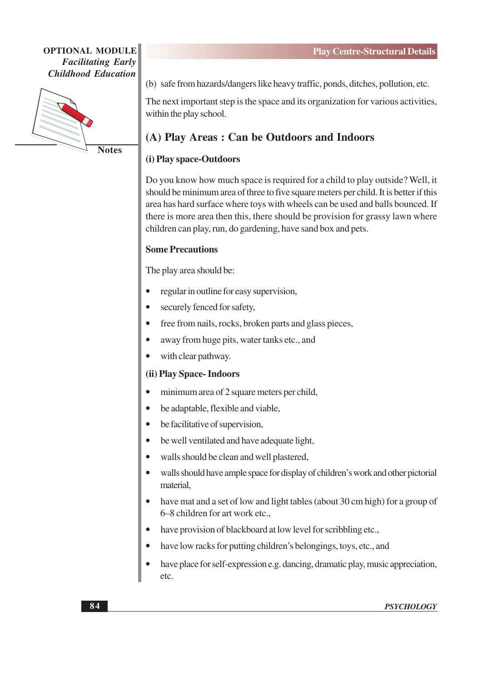

**Notes** 

(b) safe from hazards/dangers like heavy traffic, ponds, ditches, pollution, etc.

The next important step is the space and its organization for various activities, within the play school.

# (A) Play Areas: Can be Outdoors and Indoors

### (i) Play space-Outdoors

Do you know how much space is required for a child to play outside? Well, it should be minimum area of three to five square meters per child. It is better if this area has hard surface where toys with wheels can be used and balls bounced. If there is more area then this, there should be provision for grassy lawn where children can play, run, do gardening, have sand box and pets.

#### **Some Precautions**

The play area should be:

- regular in outline for easy supervision,
- securely fenced for safety,
- free from nails, rocks, broken parts and glass pieces,
- away from huge pits, water tanks etc., and
- with clear pathway.

#### (ii) Play Space- Indoors

- minimum area of 2 square meters per child,
- be adaptable, flexible and viable,  $\bullet$
- be facilitative of supervision,  $\bullet$
- be well ventilated and have adequate light,
- walls should be clean and well plastered,
- walls should have ample space for display of children's work and other pictorial material.
- have mat and a set of low and light tables (about 30 cm high) for a group of 6–8 children for art work etc.,
- have provision of blackboard at low level for scribbling etc.,
- have low racks for putting children's belongings, toys, etc., and
- have place for self-expression e.g. dancing, dramatic play, music appreciation, etc.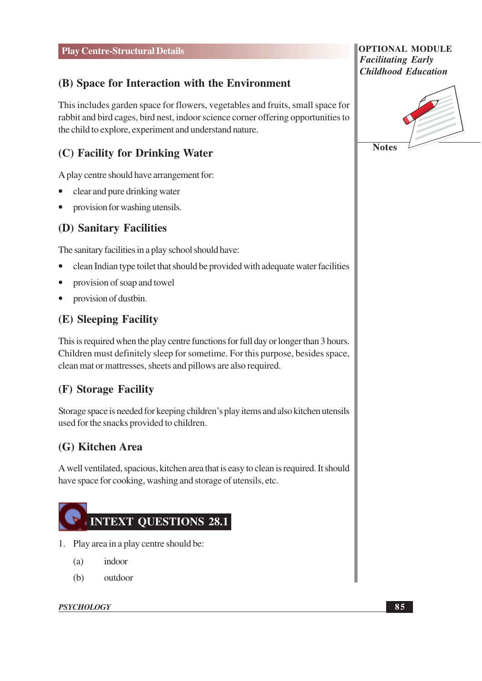# (B) Space for Interaction with the Environment

This includes garden space for flowers, vegetables and fruits, small space for rabbit and bird cages, bird nest, indoor science corner offering opportunities to the child to explore, experiment and understand nature.

# (C) Facility for Drinking Water

A play centre should have arrangement for:

- clear and pure drinking water
- provision for washing utensils.  $\bullet$

# (D) Sanitary Facilities

The sanitary facilities in a play school should have:

- clean Indian type toilet that should be provided with adequate water facilities
- provision of soap and towel
- provision of dustbin.  $\bullet$

# (E) Sleeping Facility

This is required when the play centre functions for full day or longer than 3 hours. Children must definitely sleep for sometime. For this purpose, besides space, clean mat or mattresses, sheets and pillows are also required.

# (F) Storage Facility

Storage space is needed for keeping children's play items and also kitchen utensils used for the snacks provided to children.

# (G) Kitchen Area

A well ventilated, spacious, kitchen area that is easy to clean is required. It should have space for cooking, washing and storage of utensils, etc.



- 1. Play area in a play centre should be:
	- $(a)$ indoor
	- $(b)$ outdoor

#### **PSYCHOLOGY**

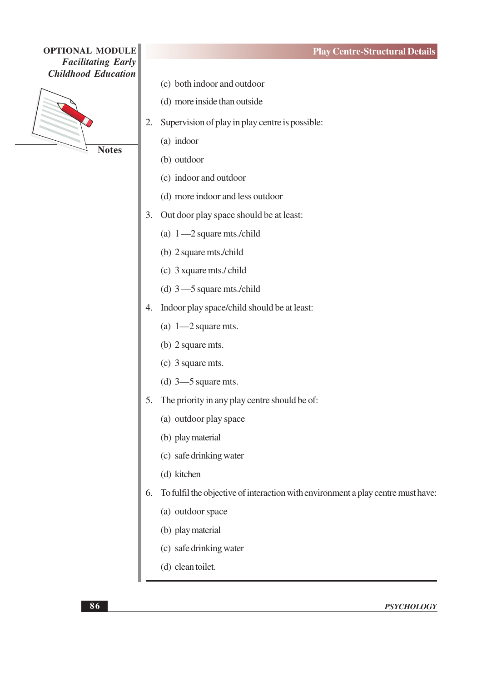

**Notes** 

- (d) more inside than outside
- 2. Supervision of play in play centre is possible:
	- (a) indoor
	- (b) outdoor
	- (c) indoor and outdoor
	- (d) more indoor and less outdoor
- 3. Out door play space should be at least:
	- (a)  $1 2$  square mts./child
	- (b) 2 square mts./child
	- (c) 3 xquare mts./ child
	- (d)  $3 5$  square mts./child
- 4. Indoor play space/child should be at least:
	- (a)  $1-2$  square mts.
	- (b) 2 square mts.
	- (c) 3 square mts.
	- (d)  $3-5$  square mts.
- 5. The priority in any play centre should be of:
	- (a) outdoor play space
	- (b) play material
	- (c) safe drinking water
	- (d) kitchen
- 6. To fulfil the objective of interaction with environment a play centre must have:
	- (a) outdoor space
	- (b) play material
	- (c) safe drinking water
	- (d) clean toilet.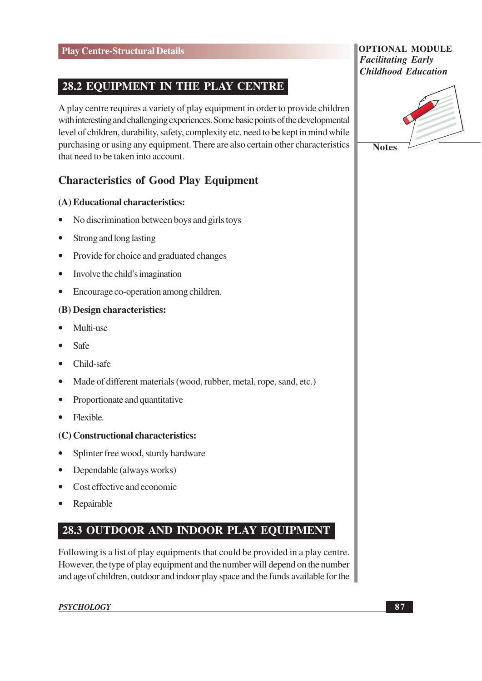# **28.2 EQUIPMENT IN THE PLAY CENTRE**

A play centre requires a variety of play equipment in order to provide children with interesting and challenging experiences. Some basic points of the developmental level of children, durability, safety, complexity etc. need to be kept in mind while purchasing or using any equipment. There are also certain other characteristics that need to be taken into account.

# **Characteristics of Good Play Equipment**

#### (A) Educational characteristics:

- No discrimination between boys and girls toys
- Strong and long lasting  $\bullet$
- Provide for choice and graduated changes  $\bullet$
- Involve the child's imagination  $\bullet$
- Encourage co-operation among children.  $\bullet$

#### (B) Design characteristics:

- Multi-use
- Safe
- $\bullet$  Child-safe
- Made of different materials (wood, rubber, metal, rope, sand, etc.)  $\bullet$
- Proportionate and quantitative  $\bullet$
- Flexible.  $\bullet$

#### (C) Constructional characteristics:

- Splinter free wood, sturdy hardware
- Dependable (always works)  $\bullet$
- Cost effective and economic  $\bullet$
- Repairable

# 28.3 OUTDOOR AND INDOOR PLAY EQUIPMENT

Following is a list of play equipments that could be provided in a play centre. However, the type of play equipment and the number will depend on the number and age of children, outdoor and indoor play space and the funds available for the

#### **PSYCHOLOGY**

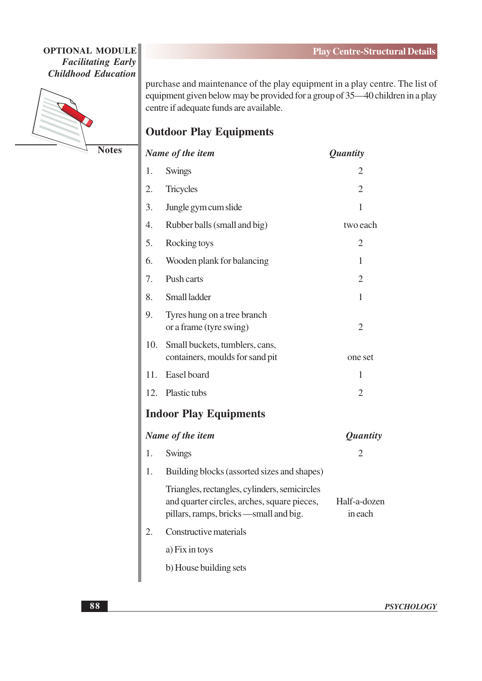

**Notes** 

purchase and maintenance of the play equipment in a play centre. The list of equipment given below may be provided for a group of  $35-40$  children in a play centre if adequate funds are available.

# **Outdoor Play Equipments**

| Name of the item |                                                                                                                                        | <i>Quantity</i>         |
|------------------|----------------------------------------------------------------------------------------------------------------------------------------|-------------------------|
| 1.               | Swings                                                                                                                                 | 2                       |
| 2.               | <b>Tricycles</b>                                                                                                                       | $\overline{2}$          |
| 3.               | Jungle gym cum slide                                                                                                                   | $\mathbf{1}$            |
| 4.               | Rubber balls (small and big)                                                                                                           | two each                |
| 5.               | Rocking toys                                                                                                                           | $\overline{2}$          |
| 6.               | Wooden plank for balancing                                                                                                             | $\mathbf{1}$            |
| 7.               | Push carts                                                                                                                             | $\overline{2}$          |
| 8.               | Small ladder                                                                                                                           | 1                       |
| 9.               | Tyres hung on a tree branch<br>or a frame (tyre swing)                                                                                 | $\overline{2}$          |
| 10.              | Small buckets, tumblers, cans,<br>containers, moulds for sand pit                                                                      | one set                 |
| 11.              | Easel board                                                                                                                            | 1                       |
| 12.              | Plastic tubs                                                                                                                           | $\overline{2}$          |
|                  | <b>Indoor Play Equipments</b>                                                                                                          |                         |
| Name of the item |                                                                                                                                        | <i>Quantity</i>         |
| 1.               | Swings                                                                                                                                 | 2                       |
| 1.               | Building blocks (assorted sizes and shapes)                                                                                            |                         |
|                  | Triangles, rectangles, cylinders, semicircles<br>and quarter circles, arches, square pieces,<br>pillars, ramps, bricks —small and big. | Half-a-dozen<br>in each |
| 2.               | Constructive materials                                                                                                                 |                         |
|                  | a) Fix in toys                                                                                                                         |                         |
|                  | b) House building sets                                                                                                                 |                         |
|                  |                                                                                                                                        |                         |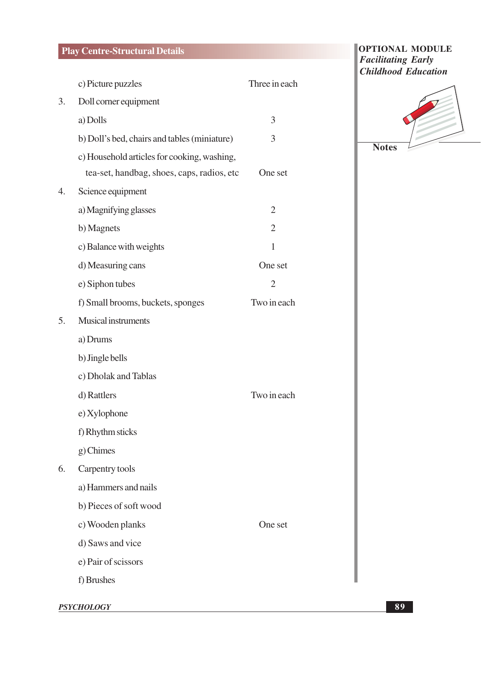# **Play Centre-Structural Details**

|    | c) Picture puzzles                           | Three in each  |
|----|----------------------------------------------|----------------|
| 3. | Doll corner equipment                        |                |
|    | a) Dolls                                     | 3              |
|    | b) Doll's bed, chairs and tables (miniature) | 3              |
|    | c) Household articles for cooking, washing,  |                |
|    | tea-set, handbag, shoes, caps, radios, etc   | One set        |
| 4. | Science equipment                            |                |
|    | a) Magnifying glasses                        | $\overline{2}$ |
|    | b) Magnets                                   | $\overline{2}$ |
|    | c) Balance with weights                      | $\mathbf{1}$   |
|    | d) Measuring cans                            | One set        |
|    | e) Siphon tubes                              | $\overline{2}$ |
|    | f) Small brooms, buckets, sponges            | Two in each    |
| 5. | Musical instruments                          |                |
|    | a) Drums                                     |                |
|    | b) Jingle bells                              |                |
|    | c) Dholak and Tablas                         |                |
|    | d) Rattlers                                  | Two in each    |
|    | e) Xylophone                                 |                |
|    | f) Rhythm sticks                             |                |
|    | $g$ ) Chimes                                 |                |
| 6. | Carpentry tools                              |                |
|    | a) Hammers and nails                         |                |
|    | b) Pieces of soft wood                       |                |
|    | c) Wooden planks                             | One set        |
|    | d) Saws and vice                             |                |
|    | e) Pair of scissors                          |                |
|    | f) Brushes                                   |                |
|    |                                              |                |

**OPTIONAL MODULE Facilitating Early Childhood Education** 



**PSYCHOLOGY**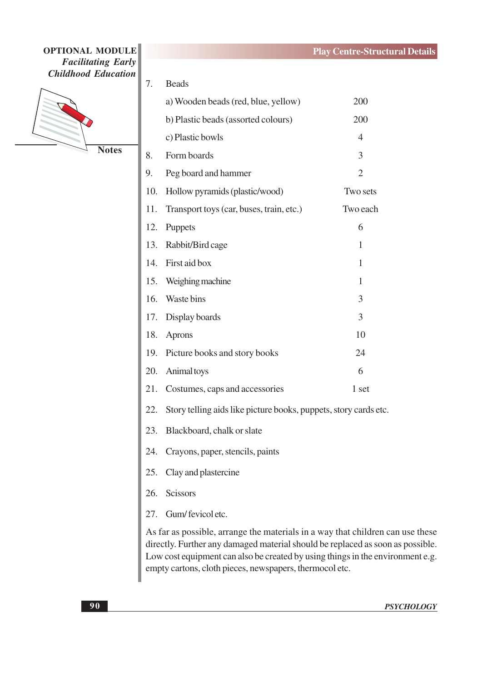

**Notes** 

| 7.  | <b>Beads</b>                                                         |                |  |
|-----|----------------------------------------------------------------------|----------------|--|
|     | a) Wooden beads (red, blue, yellow)                                  | 200            |  |
|     | b) Plastic beads (assorted colours)                                  | 200            |  |
|     | c) Plastic bowls                                                     | $\overline{4}$ |  |
| 8.  | Form boards                                                          | 3              |  |
| 9.  | Peg board and hammer                                                 | $\overline{2}$ |  |
| 10. | Hollow pyramids (plastic/wood)                                       | Two sets       |  |
| 11. | Transport toys (car, buses, train, etc.)                             | Two each       |  |
| 12. | Puppets                                                              | 6              |  |
|     | 13. Rabbit/Bird cage                                                 | 1              |  |
| 14. | First aid box                                                        | $\mathbf{1}$   |  |
|     | 15. Weighing machine                                                 | $\mathbf{1}$   |  |
|     | 16. Waste bins                                                       | 3              |  |
|     | 17. Display boards                                                   | 3              |  |
| 18. | Aprons                                                               | 10             |  |
| 19. | Picture books and story books                                        | 24             |  |
| 20. | Animal toys                                                          | 6              |  |
| 21. | Costumes, caps and accessories                                       | 1 set          |  |
|     | 22. Story telling aids like picture books, puppets, story cards etc. |                |  |
| 23. | Blackboard, chalk or slate                                           |                |  |
| 24. | Crayons, paper, stencils, paints                                     |                |  |
| 25. | Clay and plastercine                                                 |                |  |
| 26. | <b>Scissors</b>                                                      |                |  |
|     | 27. Gum/fevicoletc.                                                  |                |  |

As far as possible, arrange the materials in a way that children can use these directly. Further any damaged material should be replaced as soon as possible. Low cost equipment can also be created by using things in the environment e.g. empty cartons, cloth pieces, newspapers, thermocol etc.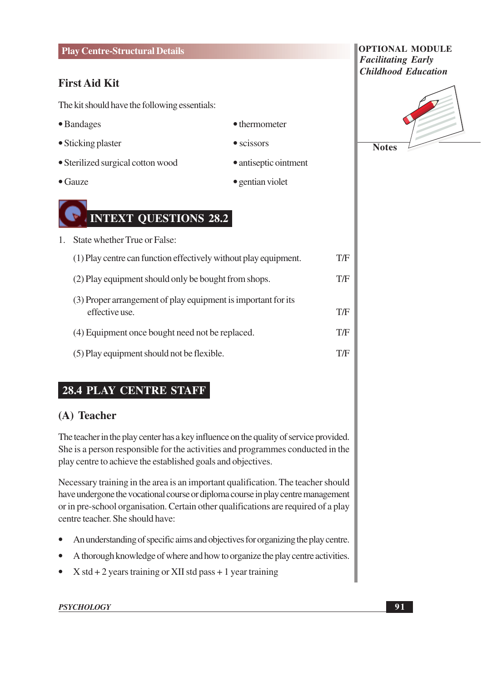#### **Play Centre-Structural Details**

### **First Aid Kit**

The kit should have the following essentials:

- Bandages
- Sticking plaster
- Sterilized surgical cotton wood
- $\bullet$  Gauze



1. State whether True or False:  $T/F$ (1) Play centre can function effectively without play equipment.  $T/F$ (2) Play equipment should only be bought from shops. (3) Proper arrangement of play equipment is important for its effective use. T/F  $T/F$ (4) Equipment once bought need not be replaced.  $T/F$ (5) Play equipment should not be flexible.

• thermometer

• gentian violet

• antiseptic ointment

 $\bullet$  scissors

# **28.4 PLAY CENTRE STAFF**

### (A) Teacher

The teacher in the play center has a key influence on the quality of service provided. She is a person responsible for the activities and programmes conducted in the play centre to achieve the established goals and objectives.

Necessary training in the area is an important qualification. The teacher should have undergone the vocational course or diploma course in play centre management or in pre-school organisation. Certain other qualifications are required of a play centre teacher. She should have:

- An understanding of specific aims and objectives for organizing the play centre.
- A thorough knowledge of where and how to organize the play centre activities.
- $X$  std + 2 years training or XII std pass + 1 year training  $\bullet$

#### **PSYCHOLOGY**

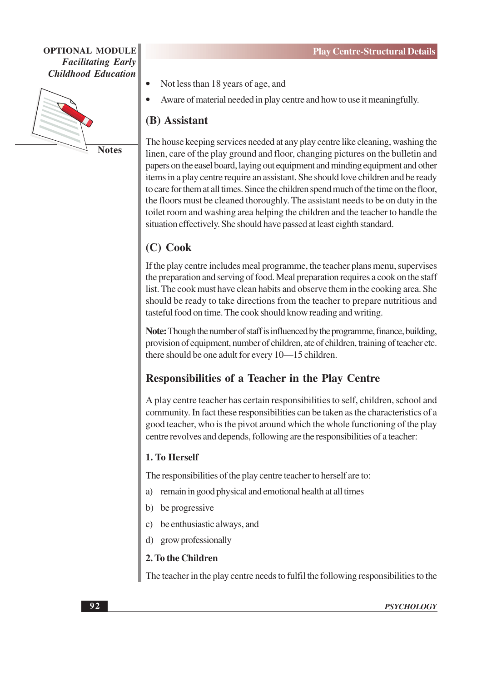

**Notes** 

- Not less than 18 years of age, and
- Aware of material needed in play centre and how to use it meaningfully.

### (B) Assistant

The house keeping services needed at any play centre like cleaning, washing the linen, care of the play ground and floor, changing pictures on the bulletin and papers on the easel board, laying out equipment and minding equipment and other items in a play centre require an assistant. She should love children and be ready to care for them at all times. Since the children spend much of the time on the floor, the floors must be cleaned thoroughly. The assistant needs to be on duty in the toilet room and washing area helping the children and the teacher to handle the situation effectively. She should have passed at least eighth standard.

# $(C)$  Cook

If the play centre includes meal programme, the teacher plans menu, supervises the preparation and serving of food. Meal preparation requires a cook on the staff list. The cook must have clean habits and observe them in the cooking area. She should be ready to take directions from the teacher to prepare nutritious and tasteful food on time. The cook should know reading and writing.

Note: Though the number of staff is influenced by the programme, finance, building, provision of equipment, number of children, ate of children, training of teacher etc. there should be one adult for every 10—15 children.

### **Responsibilities of a Teacher in the Play Centre**

A play centre teacher has certain responsibilities to self, children, school and community. In fact these responsibilities can be taken as the characteristics of a good teacher, who is the pivot around which the whole functioning of the play centre revolves and depends, following are the responsibilities of a teacher:

#### 1. To Herself

The responsibilities of the play centre teacher to herself are to:

- remain in good physical and emotional health at all times a)
- be progressive b)
- be enthusiastic always, and
- grow professionally d)

#### 2. To the Children

The teacher in the play centre needs to fulfil the following responsibilities to the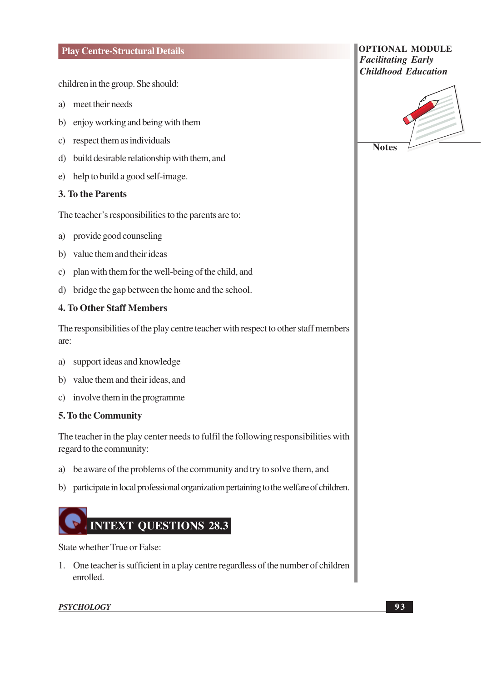#### **Play Centre-Structural Details**

children in the group. She should:

- a) meet their needs
- b) enjoy working and being with them
- c) respect them as individuals
- d) build desirable relationship with them, and
- e) help to build a good self-image.

#### **3. To the Parents**

The teacher's responsibilities to the parents are to:

- a) provide good counseling
- b) value them and their ideas
- c) plan with them for the well-being of the child, and
- d) bridge the gap between the home and the school.

#### **4. To Other Staff Members**

The responsibilities of the play centre teacher with respect to other staff members are:

- support ideas and knowledge a)
- b) value them and their ideas, and
- c) involve them in the programme

#### 5. To the Community

The teacher in the play center needs to fulfil the following responsibilities with regard to the community:

- a) be aware of the problems of the community and try to solve them, and
- b) participate in local professional organization pertaining to the welfare of children.



State whether True or False:

1. One teacher is sufficient in a play centre regardless of the number of children enrolled.

#### **PSYCHOLOGY**

**OPTIONAL MODULE Facilitating Early Childhood Education** 

 $93$